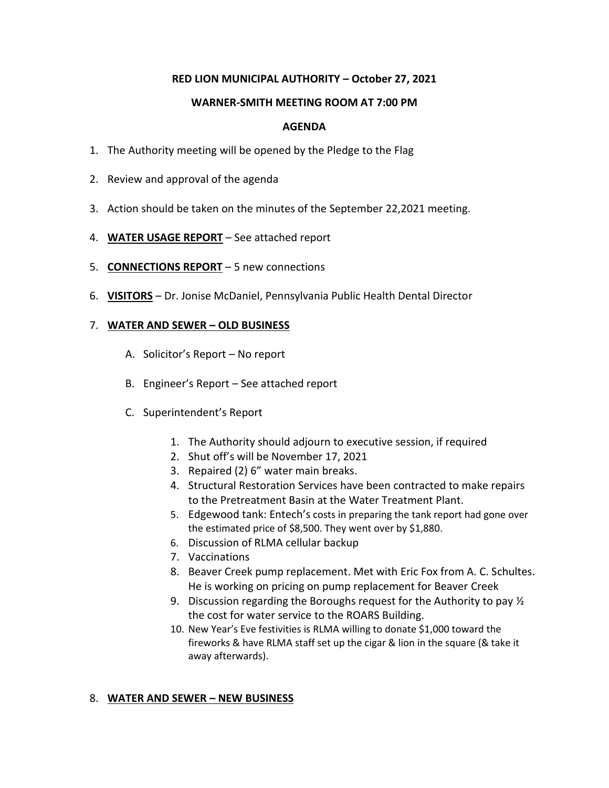# **RED LION MUNICIPAL AUTHORITY – October 27, 2021**

### **WARNER-SMITH MEETING ROOM AT 7:00 PM**

## **AGENDA**

- 1. The Authority meeting will be opened by the Pledge to the Flag
- 2. Review and approval of the agenda
- 3. Action should be taken on the minutes of the September 22,2021 meeting.
- 4. **WATER USAGE REPORT** See attached report
- 5. **CONNECTIONS REPORT** 5 new connections
- 6. **VISITORS** Dr. Jonise McDaniel, Pennsylvania Public Health Dental Director

## 7. **WATER AND SEWER – OLD BUSINESS**

- A. Solicitor's Report No report
- B. Engineer's Report See attached report
- C. Superintendent's Report
	- 1. The Authority should adjourn to executive session, if required
	- 2. Shut off's will be November 17, 2021
	- 3. Repaired (2) 6" water main breaks.
	- 4. Structural Restoration Services have been contracted to make repairs to the Pretreatment Basin at the Water Treatment Plant.
	- 5. Edgewood tank: Entech's costs in preparing the tank report had gone over the estimated price of \$8,500. They went over by \$1,880.
	- 6. Discussion of RLMA cellular backup
	- 7. Vaccinations
	- 8. Beaver Creek pump replacement. Met with Eric Fox from A. C. Schultes. He is working on pricing on pump replacement for Beaver Creek
	- 9. Discussion regarding the Boroughs request for the Authority to pay  $\frac{1}{2}$ the cost for water service to the ROARS Building.
	- 10. New Year's Eve festivities is RLMA willing to donate \$1,000 toward the fireworks & have RLMA staff set up the cigar & lion in the square (& take it away afterwards).

## 8. **WATER AND SEWER – NEW BUSINESS**